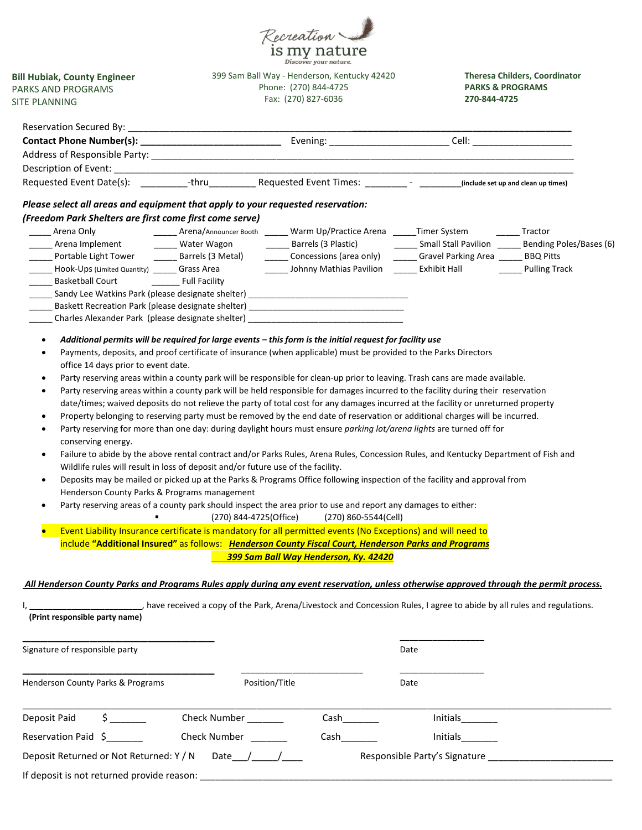

**Bill Hubiak, County Engineer**  PARKS AND PROGRAMS SITE PLANNING

399 Sam Ball Way - Henderson, Kentucky 42420 Phone: (270) 844-4725 Fax: (270) 827-6036

**Theresa Childers, Coordinator PARKS & PROGRAMS 270-844-4725**

| Please select all areas and equipment that apply to your requested reservation:                                                         |                                                                                  |                                                                                                                                                                                                                                           |          |                |
|-----------------------------------------------------------------------------------------------------------------------------------------|----------------------------------------------------------------------------------|-------------------------------------------------------------------------------------------------------------------------------------------------------------------------------------------------------------------------------------------|----------|----------------|
| (Freedom Park Shelters are first come first come serve)                                                                                 |                                                                                  |                                                                                                                                                                                                                                           |          |                |
| Arena Only                                                                                                                              |                                                                                  | ______ Arena/Announcer Booth ______ Warm Up/Practice Arena ______Timer System                                                                                                                                                             |          | <b>Tractor</b> |
|                                                                                                                                         |                                                                                  |                                                                                                                                                                                                                                           |          |                |
|                                                                                                                                         |                                                                                  | Portable Light Tower <b>Lace Light Cover Lighter Service Service</b> Carea Concessions (area only) <b>Lace Light Service Concessions (area Cover Cover Cover Cover Cover Cover Cover Cover Cover Cover Cover Cover Cover Cover Cover </b> |          |                |
| Hook-Ups (Limited Quantity) _______ Grass Area                                                                                          |                                                                                  | Johnny Mathias Pavilion Fxhibit Hall                                                                                                                                                                                                      |          | Pulling Track  |
| <b>Basketball Court</b>                                                                                                                 | <b>Example 13 Full Facility</b>                                                  |                                                                                                                                                                                                                                           |          |                |
| Sandy Lee Watkins Park (please designate shelter) ______________________________                                                        |                                                                                  |                                                                                                                                                                                                                                           |          |                |
|                                                                                                                                         |                                                                                  | Baskett Recreation Park (please designate shelter) _____________________________                                                                                                                                                          |          |                |
|                                                                                                                                         |                                                                                  | Charles Alexander Park (please designate shelter) ______________________________                                                                                                                                                          |          |                |
| $\bullet$                                                                                                                               |                                                                                  | Additional permits will be required for large events - this form is the initial request for facility use                                                                                                                                  |          |                |
| $\bullet$                                                                                                                               |                                                                                  | Payments, deposits, and proof certificate of insurance (when applicable) must be provided to the Parks Directors                                                                                                                          |          |                |
| office 14 days prior to event date.                                                                                                     |                                                                                  |                                                                                                                                                                                                                                           |          |                |
| $\bullet$                                                                                                                               |                                                                                  | Party reserving areas within a county park will be responsible for clean-up prior to leaving. Trash cans are made available.                                                                                                              |          |                |
| ٠                                                                                                                                       |                                                                                  | Party reserving areas within a county park will be held responsible for damages incurred to the facility during their reservation                                                                                                         |          |                |
|                                                                                                                                         |                                                                                  | date/times; waived deposits do not relieve the party of total cost for any damages incurred at the facility or unreturned property                                                                                                        |          |                |
|                                                                                                                                         |                                                                                  | Property belonging to reserving party must be removed by the end date of reservation or additional charges will be incurred.                                                                                                              |          |                |
|                                                                                                                                         |                                                                                  | Party reserving for more than one day: during daylight hours must ensure parking lot/arena lights are turned off for                                                                                                                      |          |                |
| conserving energy.                                                                                                                      |                                                                                  |                                                                                                                                                                                                                                           |          |                |
|                                                                                                                                         |                                                                                  |                                                                                                                                                                                                                                           |          |                |
| $\bullet$                                                                                                                               |                                                                                  | Failure to abide by the above rental contract and/or Parks Rules, Arena Rules, Concession Rules, and Kentucky Department of Fish and                                                                                                      |          |                |
|                                                                                                                                         | Wildlife rules will result in loss of deposit and/or future use of the facility. |                                                                                                                                                                                                                                           |          |                |
| $\bullet$                                                                                                                               |                                                                                  | Deposits may be mailed or picked up at the Parks & Programs Office following inspection of the facility and approval from                                                                                                                 |          |                |
| Henderson County Parks & Programs management                                                                                            |                                                                                  |                                                                                                                                                                                                                                           |          |                |
| ٠                                                                                                                                       |                                                                                  | Party reserving areas of a county park should inspect the area prior to use and report any damages to either:                                                                                                                             |          |                |
|                                                                                                                                         |                                                                                  | (270) 844-4725(Office) (270) 860-5544(Cell)                                                                                                                                                                                               |          |                |
|                                                                                                                                         |                                                                                  | Event Liability Insurance certificate is mandatory for all permitted events (No Exceptions) and will need to                                                                                                                              |          |                |
|                                                                                                                                         |                                                                                  | include "Additional Insured" as follows: Henderson County Fiscal Court, Henderson Parks and Programs                                                                                                                                      |          |                |
|                                                                                                                                         |                                                                                  | 399 Sam Ball Way Henderson, Ky. 42420                                                                                                                                                                                                     |          |                |
| All Henderson County Parks and Programs Rules apply during any event reservation, unless otherwise approved through the permit process. |                                                                                  |                                                                                                                                                                                                                                           |          |                |
|                                                                                                                                         |                                                                                  | , have received a copy of the Park, Arena/Livestock and Concession Rules, I agree to abide by all rules and regulations.                                                                                                                  |          |                |
| (Print responsible party name)                                                                                                          |                                                                                  |                                                                                                                                                                                                                                           |          |                |
|                                                                                                                                         |                                                                                  |                                                                                                                                                                                                                                           |          |                |
| Signature of responsible party                                                                                                          |                                                                                  |                                                                                                                                                                                                                                           | Date     |                |
|                                                                                                                                         |                                                                                  |                                                                                                                                                                                                                                           |          |                |
| Henderson County Parks & Programs                                                                                                       | Position/Title                                                                   |                                                                                                                                                                                                                                           | Date     |                |
|                                                                                                                                         |                                                                                  |                                                                                                                                                                                                                                           |          |                |
| $\frac{1}{5}$<br>Deposit Paid                                                                                                           | Check Number                                                                     | Cash                                                                                                                                                                                                                                      | Initials |                |
| Reservation Paid \$                                                                                                                     | Check Number<br><u> </u>                                                         |                                                                                                                                                                                                                                           | Initials |                |
| Deposit Returned or Not Returned: Y / N Date / __/___                                                                                   |                                                                                  |                                                                                                                                                                                                                                           |          |                |
| If deposit is not returned provide reason:                                                                                              |                                                                                  |                                                                                                                                                                                                                                           |          |                |